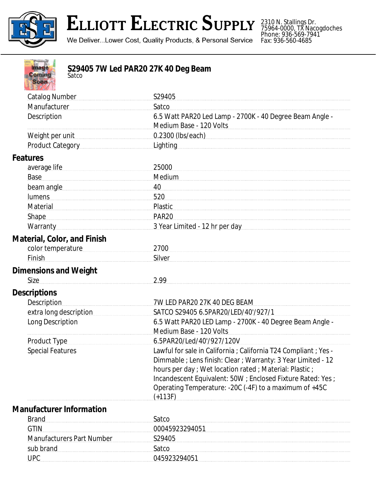

**Contract Contract Contract Contract** 

## **ELLIOTT ELECTRIC SUPPLY**

We Deliver...Lower Cost, Quality Products, & Personal Service

2310 N. Stallings Dr. 75964-0000, TX Nacogdoches Phone: 936-569-7941 Fax: 936-560-4685

| Image<br>S29405 7W Led PAR20 27K 40 Deg Beam<br><b>Coming</b><br>Satco<br><b>Soon</b>                                                                                                                                          |                                                                                                                                                                                                                                                                                                                          |
|--------------------------------------------------------------------------------------------------------------------------------------------------------------------------------------------------------------------------------|--------------------------------------------------------------------------------------------------------------------------------------------------------------------------------------------------------------------------------------------------------------------------------------------------------------------------|
| <b>Catalog Number</b>                                                                                                                                                                                                          | S29405                                                                                                                                                                                                                                                                                                                   |
| Manufacturer                                                                                                                                                                                                                   | Satco                                                                                                                                                                                                                                                                                                                    |
| Description                                                                                                                                                                                                                    | 6.5 Watt PAR20 Led Lamp - 2700K - 40 Degree Beam Angle -<br>Medium Base - 120 Volts                                                                                                                                                                                                                                      |
| Weight per unit                                                                                                                                                                                                                | 0.2300 (lbs/each) example and the state of the state of the state of the state of the state of the state of the state of the state of the state of the state of the state of the state of the state of the state of the state                                                                                            |
| <b>Product Category</b>                                                                                                                                                                                                        | <b>Lighting</b>                                                                                                                                                                                                                                                                                                          |
| Features                                                                                                                                                                                                                       |                                                                                                                                                                                                                                                                                                                          |
| average life Manual Communications are all the substitutions and all the substitutions are all the substitutions of the substitutions are all the substitutions of the substitutions of the substitutions of the substitutions | 25000                                                                                                                                                                                                                                                                                                                    |
| Base                                                                                                                                                                                                                           | Medium                                                                                                                                                                                                                                                                                                                   |
| beam angle                                                                                                                                                                                                                     | 40                                                                                                                                                                                                                                                                                                                       |
| <b>lumens</b>                                                                                                                                                                                                                  | 520                                                                                                                                                                                                                                                                                                                      |
| Material                                                                                                                                                                                                                       | Plastic                                                                                                                                                                                                                                                                                                                  |
| <b>Shape</b>                                                                                                                                                                                                                   | <b>PAR20</b>                                                                                                                                                                                                                                                                                                             |
| Warranty                                                                                                                                                                                                                       | 3 Year Limited - 12 hr per day                                                                                                                                                                                                                                                                                           |
| <b>Material, Color, and Finish</b>                                                                                                                                                                                             |                                                                                                                                                                                                                                                                                                                          |
| color temperature                                                                                                                                                                                                              | 2700                                                                                                                                                                                                                                                                                                                     |
| Finish                                                                                                                                                                                                                         | Silver                                                                                                                                                                                                                                                                                                                   |
| <b>Dimensions and Weight</b>                                                                                                                                                                                                   |                                                                                                                                                                                                                                                                                                                          |
| Size                                                                                                                                                                                                                           | 2.99                                                                                                                                                                                                                                                                                                                     |
| <b>Descriptions</b>                                                                                                                                                                                                            |                                                                                                                                                                                                                                                                                                                          |
| <b>Description</b>                                                                                                                                                                                                             | 7W LED PAR20 27K 40 DEG BEAM                                                                                                                                                                                                                                                                                             |
| extra long description                                                                                                                                                                                                         | SATCO S29405 6.5PAR20/LED/40'/927/1                                                                                                                                                                                                                                                                                      |
| Long Description                                                                                                                                                                                                               | 6.5 Watt PAR20 LED Lamp - 2700K - 40 Degree Beam Angle -                                                                                                                                                                                                                                                                 |
|                                                                                                                                                                                                                                | Medium Base - 120 Volts                                                                                                                                                                                                                                                                                                  |
| <b>Product Type</b>                                                                                                                                                                                                            | 6.5PAR20/Led/40'/927/120V                                                                                                                                                                                                                                                                                                |
| <b>Special Features</b>                                                                                                                                                                                                        | Lawful for sale in California ; California T24 Compliant ; Yes -<br>Dimmable ; Lens finish: Clear ; Warranty: 3 Year Limited - 12<br>hours per day ; Wet location rated ; Material: Plastic ;<br>Incandescent Equivalent: 50W ; Enclosed Fixture Rated: Yes ;<br>Operating Temperature: - 20C (-4F) to a maximum of +45C |
|                                                                                                                                                                                                                                |                                                                                                                                                                                                                                                                                                                          |
|                                                                                                                                                                                                                                |                                                                                                                                                                                                                                                                                                                          |
|                                                                                                                                                                                                                                |                                                                                                                                                                                                                                                                                                                          |
|                                                                                                                                                                                                                                |                                                                                                                                                                                                                                                                                                                          |
|                                                                                                                                                                                                                                |                                                                                                                                                                                                                                                                                                                          |
| <b>Manufacturer Information</b><br><b>Brand</b><br><b>GTIN</b><br><b>Manufacturers Part Number</b>                                                                                                                             | $(+113F)$<br>Satco<br>00045923294051<br>S29405                                                                                                                                                                                                                                                                           |

sub brand Satco

UPC 045923294051